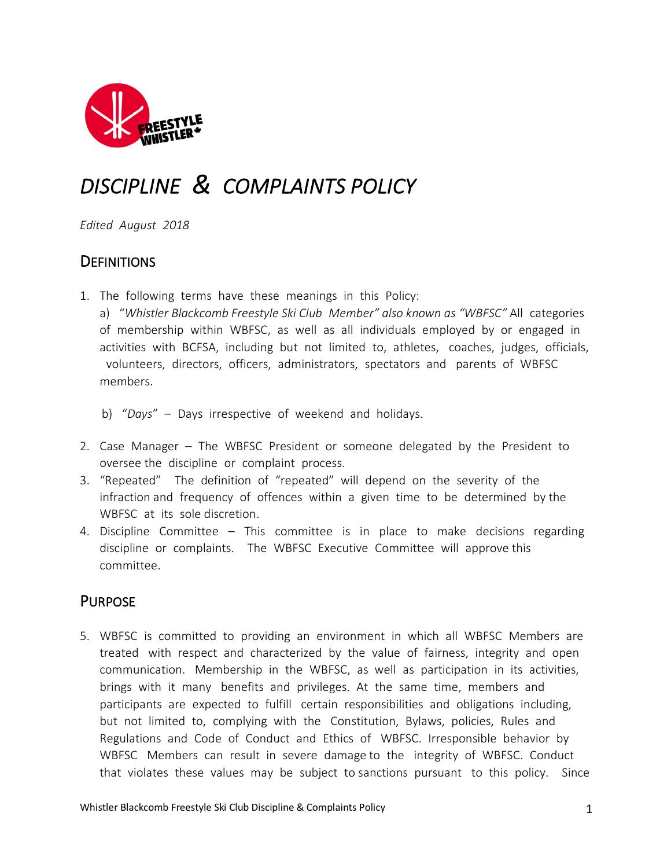

# *DISCIPLINE & COMPLAINTS POLICY*

*Edited August 2018*

# **DEFINITIONS**

- 1. The following terms have these meanings in this Policy:
	- a) "*Whistler Blackcomb Freestyle Ski Club Member" also known as "WBFSC"* All categories of membership within WBFSC, as well as all individuals employed by or engaged in activities with BCFSA, including but not limited to, athletes, coaches, judges, officials, volunteers, directors, officers, administrators, spectators and parents of WBFSC members.
	- b) "*Days*" Days irrespective of weekend and holidays.
- 2. Case Manager The WBFSC President or someone delegated by the President to oversee the discipline or complaint process.
- 3. "Repeated" The definition of "repeated" will depend on the severity of the infraction and frequency of offences within a given time to be determined by the WBFSC at its sole discretion.
- 4. Discipline Committee This committee is in place to make decisions regarding discipline or complaints. The WBFSC Executive Committee will approve this committee.

# **PURPOSE**

5. WBFSC is committed to providing an environment in which all WBFSC Members are treated with respect and characterized by the value of fairness, integrity and open communication. Membership in the WBFSC, as well as participation in its activities, brings with it many benefits and privileges. At the same time, members and participants are expected to fulfill certain responsibilities and obligations including, but not limited to, complying with the Constitution, Bylaws, policies, Rules and Regulations and Code of Conduct and Ethics of WBFSC. Irresponsible behavior by WBFSC Members can result in severe damage to the integrity of WBFSC. Conduct that violates these values may be subject to sanctions pursuant to this policy. Since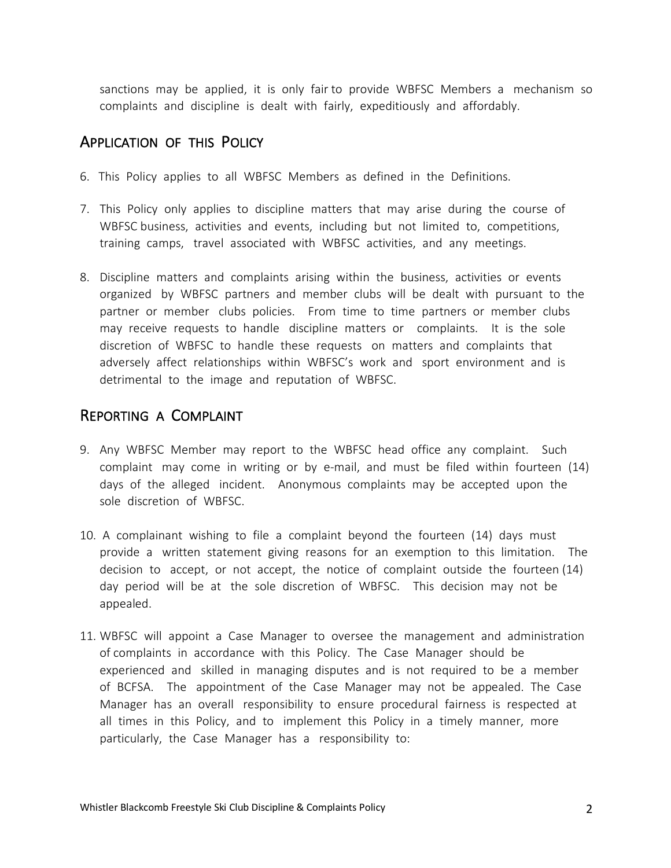sanctions may be applied, it is only fair to provide WBFSC Members a mechanism so complaints and discipline is dealt with fairly, expeditiously and affordably.

#### APPLICATION OF THIS POLICY

- 6. This Policy applies to all WBFSC Members as defined in the Definitions.
- 7. This Policy only applies to discipline matters that may arise during the course of WBFSC business, activities and events, including but not limited to, competitions, training camps, travel associated with WBFSC activities, and any meetings.
- 8. Discipline matters and complaints arising within the business, activities or events organized by WBFSC partners and member clubs will be dealt with pursuant to the partner or member clubs policies. From time to time partners or member clubs may receive requests to handle discipline matters or complaints. It is the sole discretion of WBFSC to handle these requests on matters and complaints that adversely affect relationships within WBFSC's work and sport environment and is detrimental to the image and reputation of WBFSC.

## REPORTING A COMPLAINT

- 9. Any WBFSC Member may report to the WBFSC head office any complaint. Such complaint may come in writing or by e-mail, and must be filed within fourteen (14) days of the alleged incident. Anonymous complaints may be accepted upon the sole discretion of WBFSC.
- 10. A complainant wishing to file a complaint beyond the fourteen (14) days must provide a written statement giving reasons for an exemption to this limitation. The decision to accept, or not accept, the notice of complaint outside the fourteen (14) day period will be at the sole discretion of WBFSC. This decision may not be appealed.
- 11. WBFSC will appoint a Case Manager to oversee the management and administration of complaints in accordance with this Policy. The Case Manager should be experienced and skilled in managing disputes and is not required to be a member of BCFSA. The appointment of the Case Manager may not be appealed. The Case Manager has an overall responsibility to ensure procedural fairness is respected at all times in this Policy, and to implement this Policy in a timely manner, more particularly, the Case Manager has a responsibility to: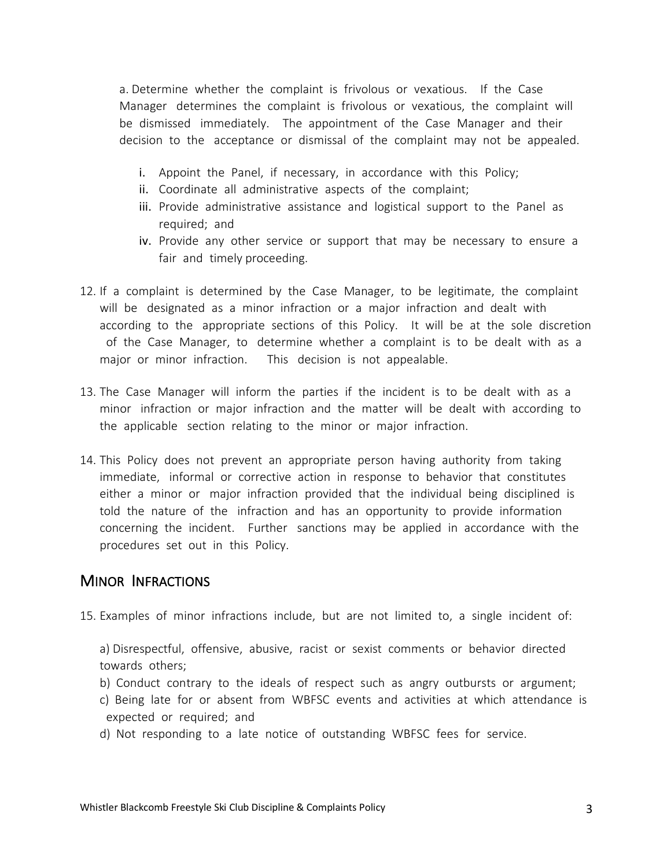a. Determine whether the complaint is frivolous or vexatious. If the Case Manager determines the complaint is frivolous or vexatious, the complaint will be dismissed immediately. The appointment of the Case Manager and their decision to the acceptance or dismissal of the complaint may not be appealed.

- i. Appoint the Panel, if necessary, in accordance with this Policy;
- ii. Coordinate all administrative aspects of the complaint;
- iii. Provide administrative assistance and logistical support to the Panel as required; and
- iv. Provide any other service or support that may be necessary to ensure a fair and timely proceeding.
- 12. If a complaint is determined by the Case Manager, to be legitimate, the complaint will be designated as a minor infraction or a major infraction and dealt with according to the appropriate sections of this Policy. It will be at the sole discretion of the Case Manager, to determine whether a complaint is to be dealt with as a major or minor infraction. This decision is not appealable.
- 13. The Case Manager will inform the parties if the incident is to be dealt with as a minor infraction or major infraction and the matter will be dealt with according to the applicable section relating to the minor or major infraction.
- 14. This Policy does not prevent an appropriate person having authority from taking immediate, informal or corrective action in response to behavior that constitutes either a minor or major infraction provided that the individual being disciplined is told the nature of the infraction and has an opportunity to provide information concerning the incident. Further sanctions may be applied in accordance with the procedures set out in this Policy.

#### MINOR INFRACTIONS

15. Examples of minor infractions include, but are not limited to, a single incident of:

a) Disrespectful, offensive, abusive, racist or sexist comments or behavior directed towards others;

- b) Conduct contrary to the ideals of respect such as angry outbursts or argument;
- c) Being late for or absent from WBFSC events and activities at which attendance is expected or required; and
- d) Not responding to a late notice of outstanding WBFSC fees for service.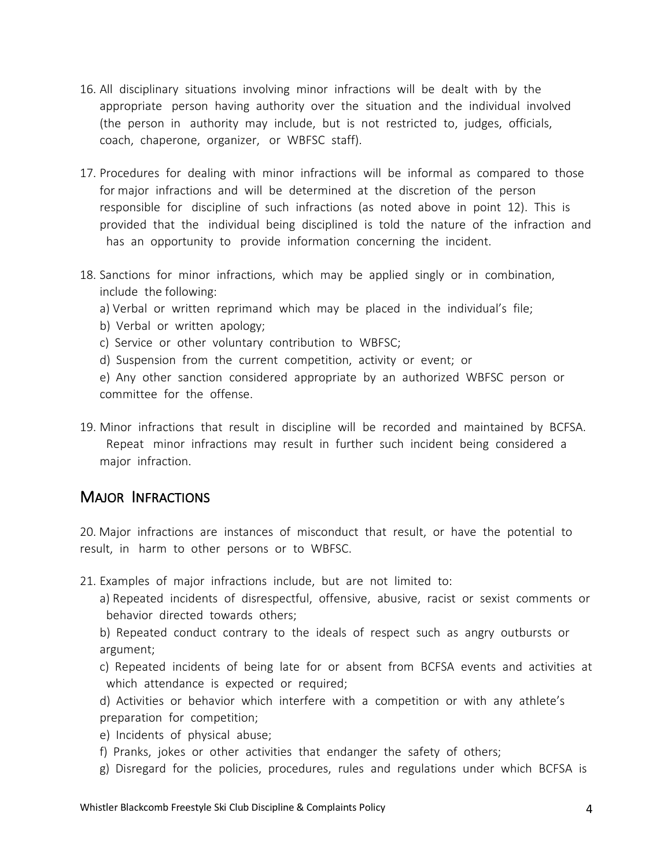- 16. All disciplinary situations involving minor infractions will be dealt with by the appropriate person having authority over the situation and the individual involved (the person in authority may include, but is not restricted to, judges, officials, coach, chaperone, organizer, or WBFSC staff).
- 17. Procedures for dealing with minor infractions will be informal as compared to those for major infractions and will be determined at the discretion of the person responsible for discipline of such infractions (as noted above in point 12). This is provided that the individual being disciplined is told the nature of the infraction and has an opportunity to provide information concerning the incident.
- 18. Sanctions for minor infractions, which may be applied singly or in combination, include the following:
	- a) Verbal or written reprimand which may be placed in the individual's file;
	- b) Verbal or written apology;
	- c) Service or other voluntary contribution to WBFSC;
	- d) Suspension from the current competition, activity or event; or

e) Any other sanction considered appropriate by an authorized WBFSC person or committee for the offense.

19. Minor infractions that result in discipline will be recorded and maintained by BCFSA. Repeat minor infractions may result in further such incident being considered a major infraction.

## MAJOR INFRACTIONS

20. Major infractions are instances of misconduct that result, or have the potential to result, in harm to other persons or to WBFSC.

- 21. Examples of major infractions include, but are not limited to:
	- a) Repeated incidents of disrespectful, offensive, abusive, racist or sexist comments or behavior directed towards others;

b) Repeated conduct contrary to the ideals of respect such as angry outbursts or argument;

- c) Repeated incidents of being late for or absent from BCFSA events and activities at which attendance is expected or required;
- d) Activities or behavior which interfere with a competition or with any athlete's preparation for competition;
- e) Incidents of physical abuse;
- f) Pranks, jokes or other activities that endanger the safety of others;
- g) Disregard for the policies, procedures, rules and regulations under which BCFSA is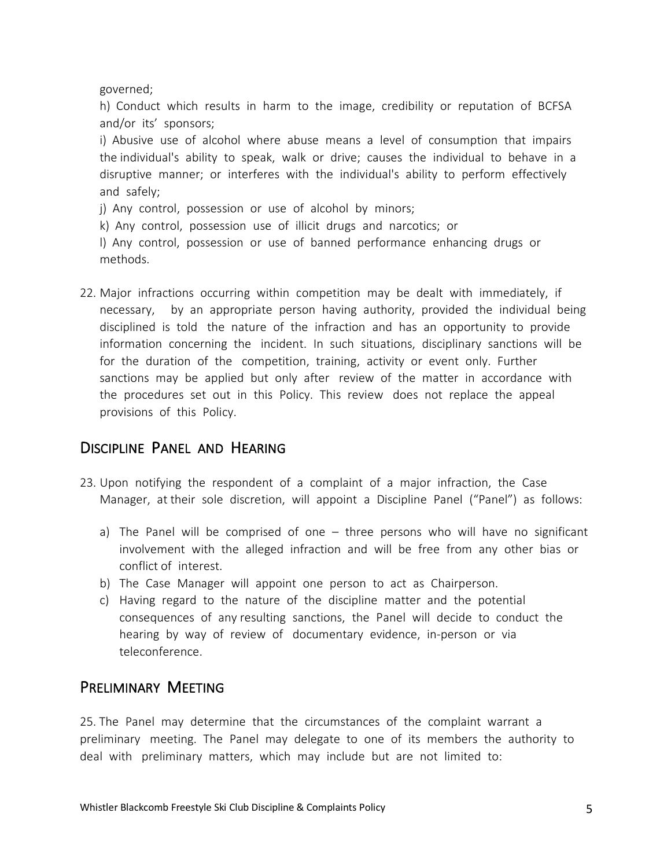governed;

h) Conduct which results in harm to the image, credibility or reputation of BCFSA and/or its' sponsors;

i) Abusive use of alcohol where abuse means a level of consumption that impairs the individual's ability to speak, walk or drive; causes the individual to behave in a disruptive manner; or interferes with the individual's ability to perform effectively and safely;

j) Any control, possession or use of alcohol by minors;

k) Any control, possession use of illicit drugs and narcotics; or

l) Any control, possession or use of banned performance enhancing drugs or methods.

22. Major infractions occurring within competition may be dealt with immediately, if necessary, by an appropriate person having authority, provided the individual being disciplined is told the nature of the infraction and has an opportunity to provide information concerning the incident. In such situations, disciplinary sanctions will be for the duration of the competition, training, activity or event only. Further sanctions may be applied but only after review of the matter in accordance with the procedures set out in this Policy. This review does not replace the appeal provisions of this Policy.

# DISCIPLINE PANEL AND HEARING

- 23. Upon notifying the respondent of a complaint of a major infraction, the Case Manager, at their sole discretion, will appoint a Discipline Panel ("Panel") as follows:
	- a) The Panel will be comprised of one three persons who will have no significant involvement with the alleged infraction and will be free from any other bias or conflict of interest.
	- b) The Case Manager will appoint one person to act as Chairperson.
	- c) Having regard to the nature of the discipline matter and the potential consequences of any resulting sanctions, the Panel will decide to conduct the hearing by way of review of documentary evidence, in-person or via teleconference.

## PRELIMINARY MEETING

25. The Panel may determine that the circumstances of the complaint warrant a preliminary meeting. The Panel may delegate to one of its members the authority to deal with preliminary matters, which may include but are not limited to: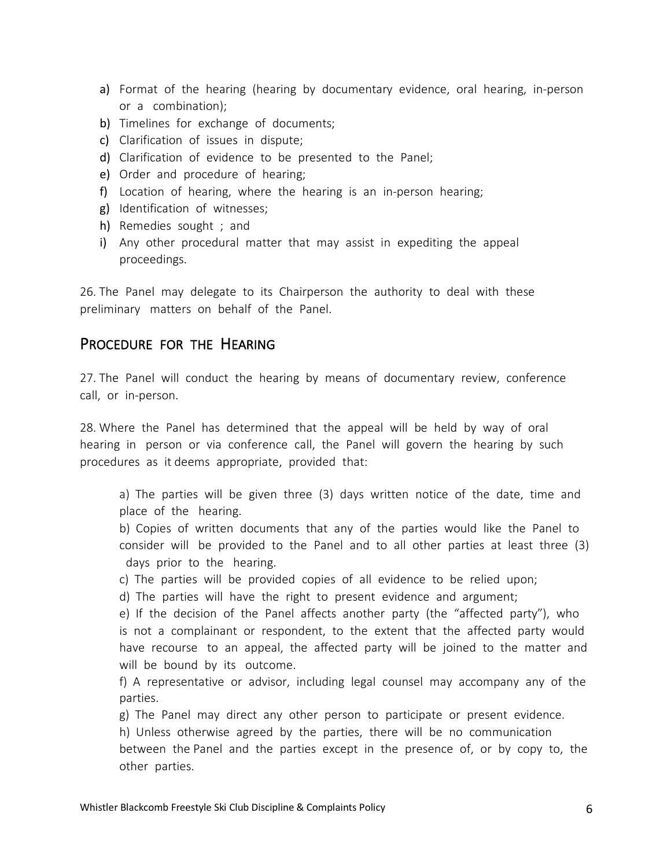- a) Format of the hearing (hearing by documentary evidence, oral hearing, in-person or a combination);
- b) Timelines for exchange of documents;
- c) Clarification of issues in dispute;
- d) Clarification of evidence to be presented to the Panel;
- e) Order and procedure of hearing;
- f) Location of hearing, where the hearing is an in-person hearing;
- g) Identification of witnesses;
- h) Remedies sought ; and
- i) Any other procedural matter that may assist in expediting the appeal proceedings.

26. The Panel may delegate to its Chairperson the authority to deal with these preliminary matters on behalf of the Panel.

#### PROCEDURE FOR THE HEARING

27. The Panel will conduct the hearing by means of documentary review, conference call, or in-person.

28. Where the Panel has determined that the appeal will be held by way of oral hearing in person or via conference call, the Panel will govern the hearing by such procedures as it deems appropriate, provided that:

a) The parties will be given three (3) days written notice of the date, time and place of the hearing.

b) Copies of written documents that any of the parties would like the Panel to consider will be provided to the Panel and to all other parties at least three (3) days prior to the hearing.

- c) The parties will be provided copies of all evidence to be relied upon;
- d) The parties will have the right to present evidence and argument;

e) If the decision of the Panel affects another party (the "affected party"), who is not a complainant or respondent, to the extent that the affected party would have recourse to an appeal, the affected party will be joined to the matter and will be bound by its outcome.

f) A representative or advisor, including legal counsel may accompany any of the parties.

g) The Panel may direct any other person to participate or present evidence.

h) Unless otherwise agreed by the parties, there will be no communication

between the Panel and the parties except in the presence of, or by copy to, the other parties.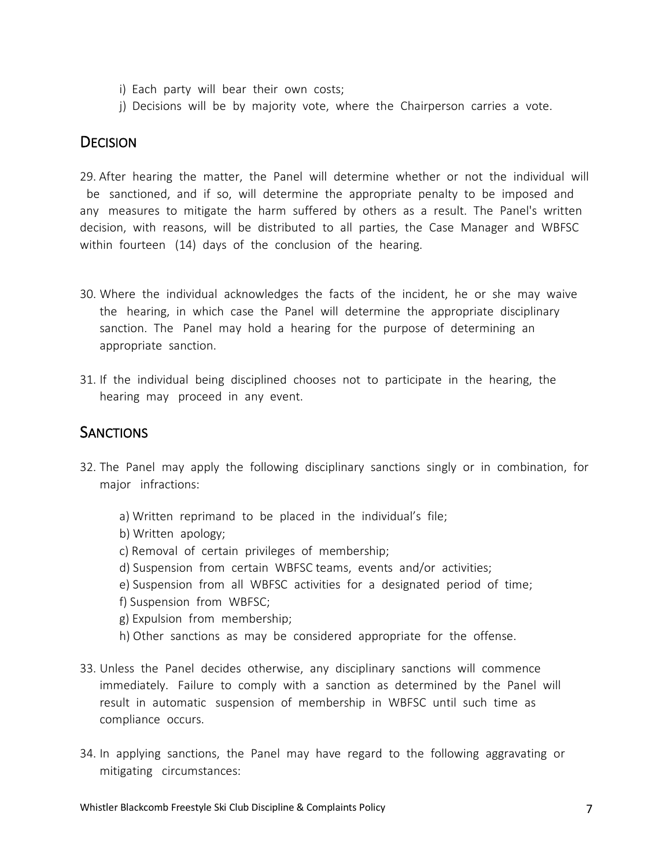- i) Each party will bear their own costs;
- j) Decisions will be by majority vote, where the Chairperson carries a vote.

## **DECISION**

29. After hearing the matter, the Panel will determine whether or not the individual will be sanctioned, and if so, will determine the appropriate penalty to be imposed and any measures to mitigate the harm suffered by others as a result. The Panel's written decision, with reasons, will be distributed to all parties, the Case Manager and WBFSC within fourteen (14) days of the conclusion of the hearing.

- 30. Where the individual acknowledges the facts of the incident, he or she may waive the hearing, in which case the Panel will determine the appropriate disciplinary sanction. The Panel may hold a hearing for the purpose of determining an appropriate sanction.
- 31. If the individual being disciplined chooses not to participate in the hearing, the hearing may proceed in any event.

### **SANCTIONS**

- 32. The Panel may apply the following disciplinary sanctions singly or in combination, for major infractions:
	- a) Written reprimand to be placed in the individual's file; b) Written apology; c) Removal of certain privileges of membership; d) Suspension from certain WBFSC teams, events and/or activities; e) Suspension from all WBFSC activities for a designated period of time; f) Suspension from WBFSC; g) Expulsion from membership; h) Other sanctions as may be considered appropriate for the offense.
- 33. Unless the Panel decides otherwise, any disciplinary sanctions will commence immediately. Failure to comply with a sanction as determined by the Panel will result in automatic suspension of membership in WBFSC until such time as compliance occurs.
- 34. In applying sanctions, the Panel may have regard to the following aggravating or mitigating circumstances: